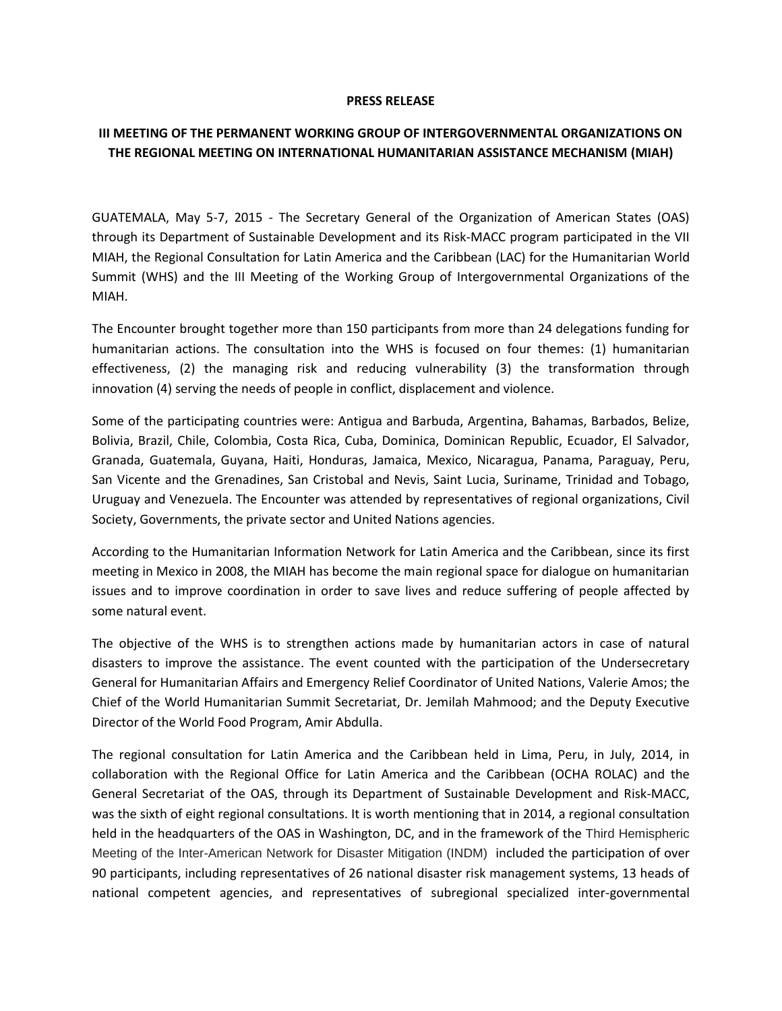## **PRESS RELEASE**

## **III MEETING OF THE PERMANENT WORKING GROUP OF INTERGOVERNMENTAL ORGANIZATIONS ON THE REGIONAL MEETING ON INTERNATIONAL HUMANITARIAN ASSISTANCE MECHANISM (MIAH)**

GUATEMALA, May 5-7, 2015 - The Secretary General of the Organization of American States (OAS) through its Department of Sustainable Development and its Risk-MACC program participated in the VII MIAH, the Regional Consultation for Latin America and the Caribbean (LAC) for the Humanitarian World Summit (WHS) and the III Meeting of the Working Group of Intergovernmental Organizations of the MIAH.

The Encounter brought together more than 150 participants from more than 24 delegations funding for humanitarian actions. The consultation into the WHS is focused on four themes: (1) humanitarian effectiveness, (2) the managing risk and reducing vulnerability (3) the transformation through innovation (4) serving the needs of people in conflict, displacement and violence.

Some of the participating countries were: Antigua and Barbuda, Argentina, Bahamas, Barbados, Belize, Bolivia, Brazil, Chile, Colombia, Costa Rica, Cuba, Dominica, Dominican Republic, Ecuador, El Salvador, Granada, Guatemala, Guyana, Haiti, Honduras, Jamaica, Mexico, Nicaragua, Panama, Paraguay, Peru, San Vicente and the Grenadines, San Cristobal and Nevis, Saint Lucia, Suriname, Trinidad and Tobago, Uruguay and Venezuela. The Encounter was attended by representatives of regional organizations, Civil Society, Governments, the private sector and United Nations agencies.

According to the Humanitarian Information Network for Latin America and the Caribbean, since its first meeting in Mexico in 2008, the MIAH has become the main regional space for dialogue on humanitarian issues and to improve coordination in order to save lives and reduce suffering of people affected by some natural event.

The objective of the WHS is to strengthen actions made by humanitarian actors in case of natural disasters to improve the assistance. The event counted with the participation of the Undersecretary General for Humanitarian Affairs and Emergency Relief Coordinator of United Nations, Valerie Amos; the Chief of the World Humanitarian Summit Secretariat, Dr. Jemilah Mahmood; and the Deputy Executive Director of the World Food Program, Amir Abdulla.

The regional consultation for Latin America and the Caribbean held in Lima, Peru, in July, 2014, in collaboration with the Regional Office for Latin America and the Caribbean (OCHA ROLAC) and the General Secretariat of the OAS, through its Department of Sustainable Development and Risk-MACC, was the sixth of eight regional consultations. It is worth mentioning that in 2014, a regional consultation held in the headquarters of the OAS in Washington, DC, and in the framework of the Third Hemispheric Meeting of the Inter-American Network for Disaster Mitigation (INDM) included the participation of over 90 participants, including representatives of 26 national disaster risk management systems, 13 heads of national competent agencies, and representatives of subregional specialized inter-governmental